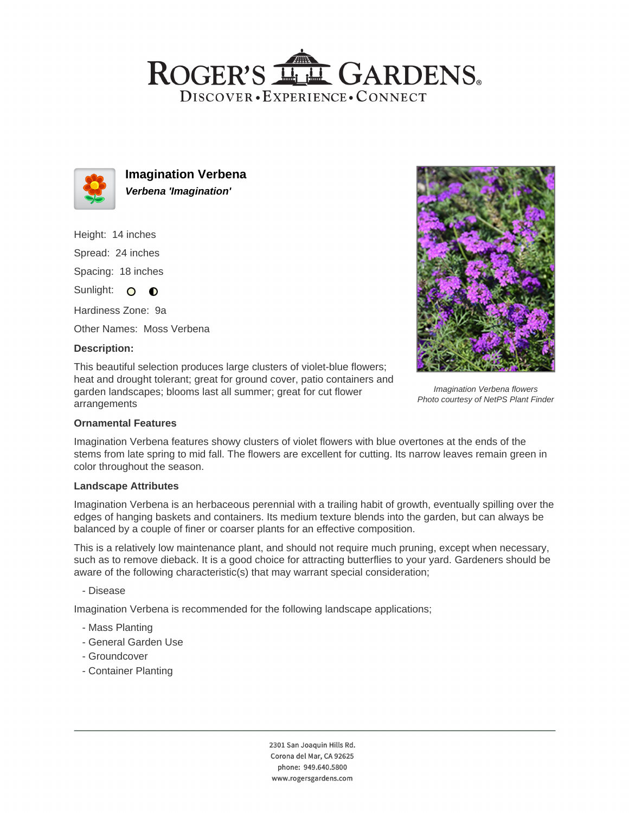## ROGER'S LL GARDENS. DISCOVER · EXPERIENCE · CONNECT



**Imagination Verbena Verbena 'Imagination'**

Height: 14 inches Spread: 24 inches Spacing: 18 inches

Sunlight: O O

Hardiness Zone: 9a

Other Names: Moss Verbena

### **Description:**

This beautiful selection produces large clusters of violet-blue flowers; heat and drought tolerant; great for ground cover, patio containers and garden landscapes; blooms last all summer; great for cut flower arrangements



Imagination Verbena flowers Photo courtesy of NetPS Plant Finder

### **Ornamental Features**

Imagination Verbena features showy clusters of violet flowers with blue overtones at the ends of the stems from late spring to mid fall. The flowers are excellent for cutting. Its narrow leaves remain green in color throughout the season.

### **Landscape Attributes**

Imagination Verbena is an herbaceous perennial with a trailing habit of growth, eventually spilling over the edges of hanging baskets and containers. Its medium texture blends into the garden, but can always be balanced by a couple of finer or coarser plants for an effective composition.

This is a relatively low maintenance plant, and should not require much pruning, except when necessary, such as to remove dieback. It is a good choice for attracting butterflies to your yard. Gardeners should be aware of the following characteristic(s) that may warrant special consideration;

- Disease

Imagination Verbena is recommended for the following landscape applications;

- Mass Planting
- General Garden Use
- Groundcover
- Container Planting

2301 San Joaquin Hills Rd. Corona del Mar, CA 92625 phone: 949.640.5800 www.rogersgardens.com